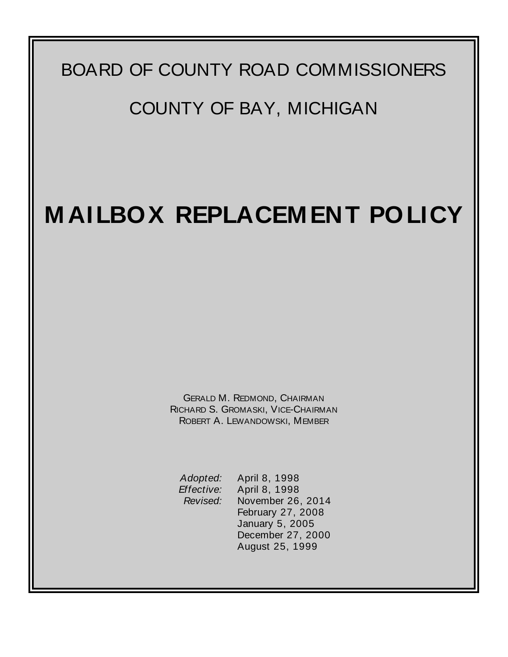## BOARD OF COUNTY ROAD COMMISSIONERS

## COUNTY OF BAY, MICHIGAN

## **M AILBOX REPLACEM ENT POLICY**

GERALD M. REDMOND, CHAIRMAN RICHARD S. GROMASKI, VICE-CHAIRMAN ROBERT A. LEWANDOWSKI, MEMBER

*Adopted:* April 8, 1998 *Effective:* April 8, 1998 *Revised:* November 26, 2014 February 27, 2008 January 5, 2005 December 27, 2000 August 25, 1999